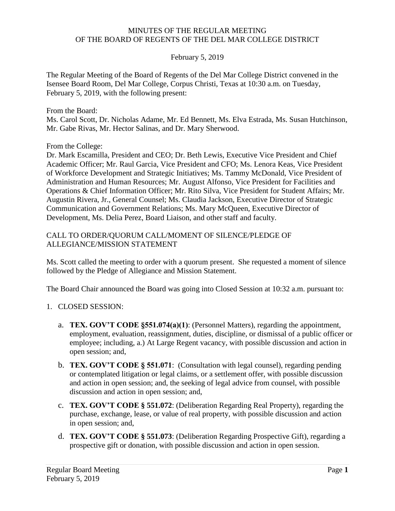#### MINUTES OF THE REGULAR MEETING OF THE BOARD OF REGENTS OF THE DEL MAR COLLEGE DISTRICT

### February 5, 2019

The Regular Meeting of the Board of Regents of the Del Mar College District convened in the Isensee Board Room, Del Mar College, Corpus Christi, Texas at 10:30 a.m. on Tuesday, February 5, 2019, with the following present:

From the Board:

Ms. Carol Scott, Dr. Nicholas Adame, Mr. Ed Bennett, Ms. Elva Estrada, Ms. Susan Hutchinson, Mr. Gabe Rivas, Mr. Hector Salinas, and Dr. Mary Sherwood.

From the College:

 Development, Ms. Delia Perez, Board Liaison, and other staff and faculty. Dr. Mark Escamilla, President and CEO; Dr. Beth Lewis, Executive Vice President and Chief Academic Officer; Mr. Raul Garcia, Vice President and CFO; Ms. Lenora Keas, Vice President of Workforce Development and Strategic Initiatives; Ms. Tammy McDonald, Vice President of Administration and Human Resources; Mr. August Alfonso, Vice President for Facilities and Operations & Chief Information Officer; Mr. Rito Silva, Vice President for Student Affairs; Mr. Augustin Rivera, Jr., General Counsel; Ms. Claudia Jackson, Executive Director of Strategic Communication and Government Relations; Ms. Mary McQueen, Executive Director of

### CALL TO ORDER/QUORUM CALL/MOMENT OF SILENCE/PLEDGE OF ALLEGIANCE/MISSION STATEMENT

Ms. Scott called the meeting to order with a quorum present. She requested a moment of silence followed by the Pledge of Allegiance and Mission Statement.

The Board Chair announced the Board was going into Closed Session at 10:32 a.m. pursuant to:

- 1. CLOSED SESSION:
	- a. **TEX. GOV'T CODE §551.074(a)(1)**: (Personnel Matters), regarding the appointment, employment, evaluation, reassignment, duties, discipline, or dismissal of a public officer or employee; including, a.) At Large Regent vacancy, with possible discussion and action in open session; and,
	- b. **TEX. GOV'T CODE § 551.071**: (Consultation with legal counsel), regarding pending or contemplated litigation or legal claims, or a settlement offer, with possible discussion and action in open session; and, the seeking of legal advice from counsel, with possible discussion and action in open session; and,
	- c. **TEX. GOV'T CODE § 551.072**: (Deliberation Regarding Real Property), regarding the purchase, exchange, lease, or value of real property, with possible discussion and action in open session; and,
	- d. **TEX. GOV'T CODE § 551.073**: (Deliberation Regarding Prospective Gift), regarding a prospective gift or donation, with possible discussion and action in open session.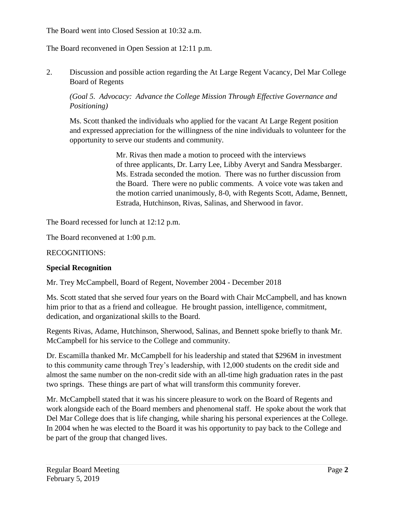The Board went into Closed Session at 10:32 a.m.

The Board reconvened in Open Session at 12:11 p.m.

2. Discussion and possible action regarding the At Large Regent Vacancy, Del Mar College Board of Regents

# *(Goal 5. Advocacy: Advance the College Mission Through Effective Governance and Positioning)*

Ms. Scott thanked the individuals who applied for the vacant At Large Regent position and expressed appreciation for the willingness of the nine individuals to volunteer for the opportunity to serve our students and community.

> Mr. Rivas then made a motion to proceed with the interviews of three applicants, Dr. Larry Lee, Libby Averyt and Sandra Messbarger. Ms. Estrada seconded the motion. There was no further discussion from the Board. There were no public comments. A voice vote was taken and the motion carried unanimously, 8-0, with Regents Scott, Adame, Bennett, Estrada, Hutchinson, Rivas, Salinas, and Sherwood in favor.

The Board recessed for lunch at 12:12 p.m.

The Board reconvened at 1:00 p.m.

RECOGNITIONS:

# **Special Recognition**

Mr. Trey McCampbell, Board of Regent, November 2004 - December 2018

Ms. Scott stated that she served four years on the Board with Chair McCampbell, and has known him prior to that as a friend and colleague. He brought passion, intelligence, commitment, dedication, and organizational skills to the Board.

Regents Rivas, Adame, Hutchinson, Sherwood, Salinas, and Bennett spoke briefly to thank Mr. McCampbell for his service to the College and community.

 two springs. These things are part of what will transform this community forever. Dr. Escamilla thanked Mr. McCampbell for his leadership and stated that \$296M in investment to this community came through Trey's leadership, with 12,000 students on the credit side and almost the same number on the non-credit side with an all-time high graduation rates in the past

Mr. McCampbell stated that it was his sincere pleasure to work on the Board of Regents and work alongside each of the Board members and phenomenal staff. He spoke about the work that Del Mar College does that is life changing, while sharing his personal experiences at the College. In 2004 when he was elected to the Board it was his opportunity to pay back to the College and be part of the group that changed lives.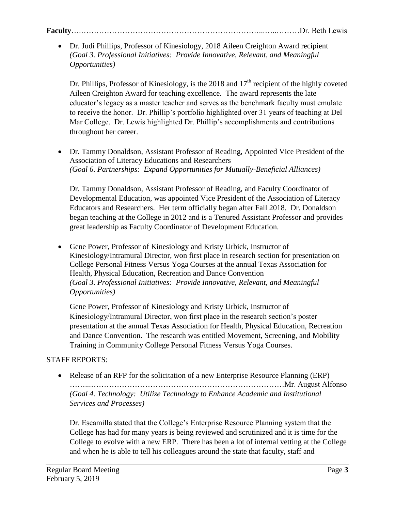# **Faculty**….……………………………………………………………...…..………Dr. Beth Lewis

 Dr. Judi Phillips, Professor of Kinesiology, 2018 Aileen Creighton Award recipient *(Goal 3. Professional Initiatives: Provide Innovative, Relevant, and Meaningful Opportunities)* 

Dr. Phillips, Professor of Kinesiology, is the 2018 and  $17<sup>th</sup>$  recipient of the highly coveted Aileen Creighton Award for teaching excellence. The award represents the late educator's legacy as a master teacher and serves as the benchmark faculty must emulate to receive the honor. Dr. Phillip's portfolio highlighted over 31 years of teaching at Del Mar College. Dr. Lewis highlighted Dr. Phillip's accomplishments and contributions throughout her career.

 Dr. Tammy Donaldson, Assistant Professor of Reading, Appointed Vice President of the Association of Literacy Educations and Researchers *(Goal 6. Partnerships: Expand Opportunities for Mutually-Beneficial Alliances)* 

Dr. Tammy Donaldson, Assistant Professor of Reading, and Faculty Coordinator of Developmental Education, was appointed Vice President of the Association of Literacy Educators and Researchers. Her term officially began after Fall 2018. Dr. Donaldson began teaching at the College in 2012 and is a Tenured Assistant Professor and provides great leadership as Faculty Coordinator of Development Education.

 Gene Power, Professor of Kinesiology and Kristy Urbick, Instructor of Kinesiology/Intramural Director, won first place in research section for presentation on College Personal Fitness Versus Yoga Courses at the annual Texas Association for Health, Physical Education, Recreation and Dance Convention *(Goal 3. Professional Initiatives: Provide Innovative, Relevant, and Meaningful Opportunities)* 

 Gene Power, Professor of Kinesiology and Kristy Urbick, Instructor of Kinesiology/Intramural Director, won first place in the research section's poster presentation at the annual Texas Association for Health, Physical Education, Recreation and Dance Convention. The research was entitled Movement, Screening, and Mobility Training in Community College Personal Fitness Versus Yoga Courses.

# STAFF REPORTS:

• Release of an RFP for the solicitation of a new Enterprise Resource Planning (ERP) ……...…………………………………………………………………Mr. August Alfonso *(Goal 4. Technology: Utilize Technology to Enhance Academic and Institutional Services and Processes)* 

Dr. Escamilla stated that the College's Enterprise Resource Planning system that the College has had for many years is being reviewed and scrutinized and it is time for the College to evolve with a new ERP. There has been a lot of internal vetting at the College and when he is able to tell his colleagues around the state that faculty, staff and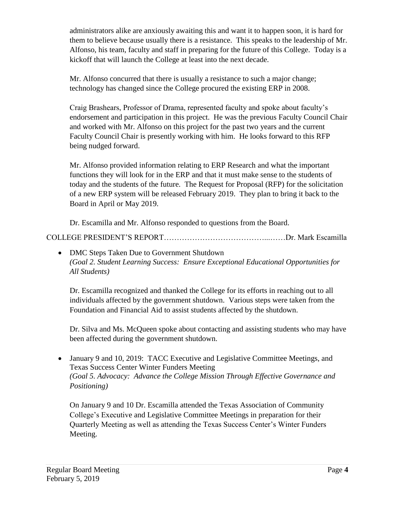administrators alike are anxiously awaiting this and want it to happen soon, it is hard for them to believe because usually there is a resistance. This speaks to the leadership of Mr. Alfonso, his team, faculty and staff in preparing for the future of this College. Today is a kickoff that will launch the College at least into the next decade.

Mr. Alfonso concurred that there is usually a resistance to such a major change; technology has changed since the College procured the existing ERP in 2008.

Craig Brashears, Professor of Drama, represented faculty and spoke about faculty's endorsement and participation in this project. He was the previous Faculty Council Chair and worked with Mr. Alfonso on this project for the past two years and the current Faculty Council Chair is presently working with him. He looks forward to this RFP being nudged forward.

Mr. Alfonso provided information relating to ERP Research and what the important functions they will look for in the ERP and that it must make sense to the students of today and the students of the future. The Request for Proposal (RFP) for the solicitation of a new ERP system will be released February 2019. They plan to bring it back to the Board in April or May 2019.

Dr. Escamilla and Mr. Alfonso responded to questions from the Board.

COLLEGE PRESIDENT'S REPORT…………………………………...……Dr. Mark Escamilla

• DMC Steps Taken Due to Government Shutdown *(Goal 2. Student Learning Success: Ensure Exceptional Educational Opportunities for All Students)* 

Dr. Escamilla recognized and thanked the College for its efforts in reaching out to all individuals affected by the government shutdown. Various steps were taken from the Foundation and Financial Aid to assist students affected by the shutdown.

Dr. Silva and Ms. McQueen spoke about contacting and assisting students who may have been affected during the government shutdown.

 January 9 and 10, 2019: TACC Executive and Legislative Committee Meetings, and Texas Success Center Winter Funders Meeting *(Goal 5. Advocacy: Advance the College Mission Through Effective Governance and Positioning)* 

On January 9 and 10 Dr. Escamilla attended the Texas Association of Community College's Executive and Legislative Committee Meetings in preparation for their Quarterly Meeting as well as attending the Texas Success Center's Winter Funders Meeting.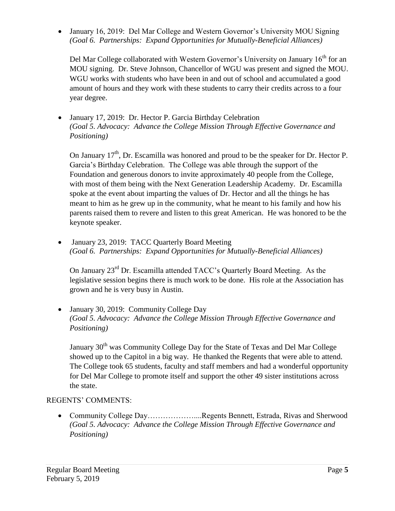January 16, 2019: Del Mar College and Western Governor's University MOU Signing *(Goal 6. Partnerships: Expand Opportunities for Mutually-Beneficial Alliances)* 

Del Mar College collaborated with Western Governor's University on January  $16<sup>th</sup>$  for an MOU signing. Dr. Steve Johnson, Chancellor of WGU was present and signed the MOU. WGU works with students who have been in and out of school and accumulated a good amount of hours and they work with these students to carry their credits across to a four year degree.

 January 17, 2019: Dr. Hector P. Garcia Birthday Celebration *(Goal 5. Advocacy: Advance the College Mission Through Effective Governance and Positioning)* 

On January  $17<sup>th</sup>$ , Dr. Escamilla was honored and proud to be the speaker for Dr. Hector P. Garcia's Birthday Celebration. The College was able through the support of the Foundation and generous donors to invite approximately 40 people from the College, with most of them being with the Next Generation Leadership Academy. Dr. Escamilla spoke at the event about imparting the values of Dr. Hector and all the things he has meant to him as he grew up in the community, what he meant to his family and how his parents raised them to revere and listen to this great American. He was honored to be the keynote speaker.

• January 23, 2019: TACC Ouarterly Board Meeting *(Goal 6. Partnerships: Expand Opportunities for Mutually-Beneficial Alliances)* 

On January 23<sup>rd</sup> Dr. Escamilla attended TACC's Quarterly Board Meeting. As the legislative session begins there is much work to be done. His role at the Association has grown and he is very busy in Austin.

• January 30, 2019: Community College Day *(Goal 5. Advocacy: Advance the College Mission Through Effective Governance and Positioning)* 

January 30<sup>th</sup> was Community College Day for the State of Texas and Del Mar College showed up to the Capitol in a big way. He thanked the Regents that were able to attend. The College took 65 students, faculty and staff members and had a wonderful opportunity for Del Mar College to promote itself and support the other 49 sister institutions across the state.

# REGENTS' COMMENTS:

 Community College Day………………....Regents Bennett, Estrada, Rivas and Sherwood *(Goal 5. Advocacy: Advance the College Mission Through Effective Governance and Positioning)*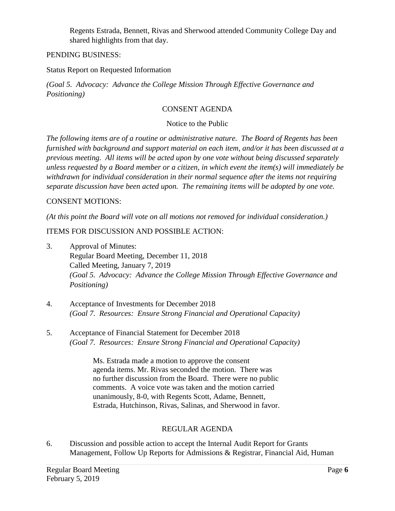Regents Estrada, Bennett, Rivas and Sherwood attended Community College Day and shared highlights from that day.

### PENDING BUSINESS:

Status Report on Requested Information

*(Goal 5. Advocacy: Advance the College Mission Through Effective Governance and Positioning)* 

### CONSENT AGENDA

### Notice to the Public

*The following items are of a routine or administrative nature. The Board of Regents has been furnished with background and support material on each item, and/or it has been discussed at a previous meeting. All items will be acted upon by one vote without being discussed separately unless requested by a Board member or a citizen, in which event the item(s) will immediately be withdrawn for individual consideration in their normal sequence after the items not requiring separate discussion have been acted upon. The remaining items will be adopted by one vote.* 

### CONSENT MOTIONS:

 *(At this point the Board will vote on all motions not removed for individual consideration.)* 

### ITEMS FOR DISCUSSION AND POSSIBLE ACTION:

- Called Meeting, January 7, 2019 3. Approval of Minutes: Regular Board Meeting, December 11, 2018 *(Goal 5. Advocacy: Advance the College Mission Through Effective Governance and Positioning)*
- 4. Acceptance of Investments for December 2018 *(Goal 7. Resources: Ensure Strong Financial and Operational Capacity)*
- 5. 5. Acceptance of Financial Statement for December 2018 *(Goal 7. Resources: Ensure Strong Financial and Operational Capacity)*

 Ms. Estrada made a motion to approve the consent no further discussion from the Board. There were no public agenda items. Mr. Rivas seconded the motion. There was comments. A voice vote was taken and the motion carried unanimously, 8-0, with Regents Scott, Adame, Bennett, Estrada, Hutchinson, Rivas, Salinas, and Sherwood in favor.

### REGULAR AGENDA

6. Discussion and possible action to accept the Internal Audit Report for Grants Management, Follow Up Reports for Admissions & Registrar, Financial Aid, Human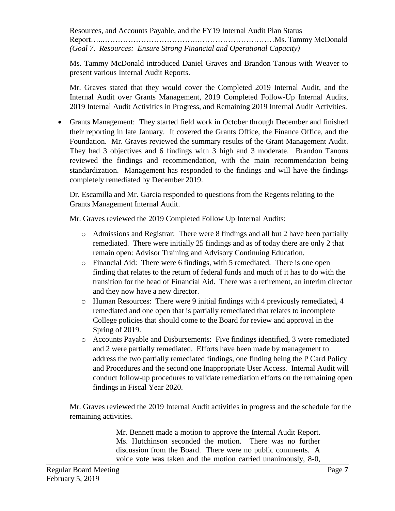Resources, and Accounts Payable, and the FY19 Internal Audit Plan Status Report…..……………………………….…………………………Ms. Tammy McDonald *(Goal 7. Resources: Ensure Strong Financial and Operational Capacity)* 

Ms. Tammy McDonald introduced Daniel Graves and Brandon Tanous with Weaver to present various Internal Audit Reports.

Mr. Graves stated that they would cover the Completed 2019 Internal Audit, and the Internal Audit over Grants Management, 2019 Completed Follow-Up Internal Audits, 2019 Internal Audit Activities in Progress, and Remaining 2019 Internal Audit Activities.

 Grants Management: They started field work in October through December and finished their reporting in late January. It covered the Grants Office, the Finance Office, and the Foundation. Mr. Graves reviewed the summary results of the Grant Management Audit. They had 3 objectives and 6 findings with 3 high and 3 moderate. Brandon Tanous reviewed the findings and recommendation, with the main recommendation being standardization. Management has responded to the findings and will have the findings completely remediated by December 2019.

Dr. Escamilla and Mr. Garcia responded to questions from the Regents relating to the Grants Management Internal Audit.

Mr. Graves reviewed the 2019 Completed Follow Up Internal Audits:

- remediated. There were initially 25 findings and as of today there are only 2 that o Admissions and Registrar: There were 8 findings and all but 2 have been partially remain open: Advisor Training and Advisory Continuing Education.
- o Financial Aid: There were 6 findings, with 5 remediated. There is one open finding that relates to the return of federal funds and much of it has to do with the transition for the head of Financial Aid. There was a retirement, an interim director and they now have a new director.
- o Human Resources: There were 9 initial findings with 4 previously remediated, 4 remediated and one open that is partially remediated that relates to incomplete College policies that should come to the Board for review and approval in the Spring of 2019.
- and Procedures and the second one Inappropriate User Access. Internal Audit will o Accounts Payable and Disbursements: Five findings identified, 3 were remediated and 2 were partially remediated. Efforts have been made by management to address the two partially remediated findings, one finding being the P Card Policy conduct follow-up procedures to validate remediation efforts on the remaining open findings in Fiscal Year 2020.

 remaining activities. Mr. Graves reviewed the 2019 Internal Audit activities in progress and the schedule for the

> Mr. Bennett made a motion to approve the Internal Audit Report. Ms. Hutchinson seconded the motion. There was no further discussion from the Board. There were no public comments. A voice vote was taken and the motion carried unanimously, 8-0,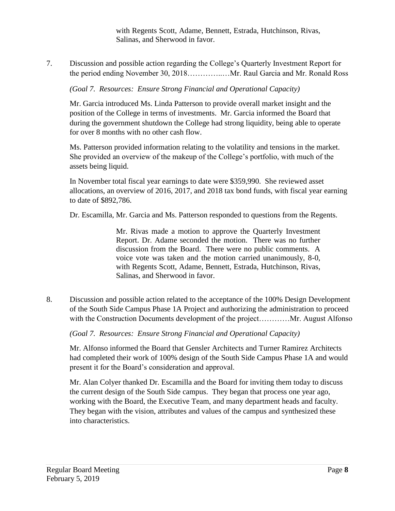with Regents Scott, Adame, Bennett, Estrada, Hutchinson, Rivas, Salinas, and Sherwood in favor.

7. Discussion and possible action regarding the College's Quarterly Investment Report for the period ending November 30, 2018…………..…Mr. Raul Garcia and Mr. Ronald Ross

*(Goal 7. Resources: Ensure Strong Financial and Operational Capacity)* 

Mr. Garcia introduced Ms. Linda Patterson to provide overall market insight and the position of the College in terms of investments. Mr. Garcia informed the Board that during the government shutdown the College had strong liquidity, being able to operate for over 8 months with no other cash flow.

Ms. Patterson provided information relating to the volatility and tensions in the market. She provided an overview of the makeup of the College's portfolio, with much of the assets being liquid.

In November total fiscal year earnings to date were \$359,990. She reviewed asset allocations, an overview of 2016, 2017, and 2018 tax bond funds, with fiscal year earning to date of \$892,786.

Dr. Escamilla, Mr. Garcia and Ms. Patterson responded to questions from the Regents.

 Mr. Rivas made a motion to approve the Quarterly Investment Report. Dr. Adame seconded the motion. There was no further discussion from the Board. There were no public comments. A voice vote was taken and the motion carried unanimously, 8-0, with Regents Scott, Adame, Bennett, Estrada, Hutchinson, Rivas, Salinas, and Sherwood in favor.

8. Discussion and possible action related to the acceptance of the 100% Design Development of the South Side Campus Phase 1A Project and authorizing the administration to proceed with the Construction Documents development of the project............Mr. August Alfonso

*(Goal 7. Resources: Ensure Strong Financial and Operational Capacity)* 

Mr. Alfonso informed the Board that Gensler Architects and Turner Ramirez Architects had completed their work of 100% design of the South Side Campus Phase 1A and would present it for the Board's consideration and approval.

Mr. Alan Colyer thanked Dr. Escamilla and the Board for inviting them today to discuss the current design of the South Side campus. They began that process one year ago, working with the Board, the Executive Team, and many department heads and faculty. They began with the vision, attributes and values of the campus and synthesized these into characteristics.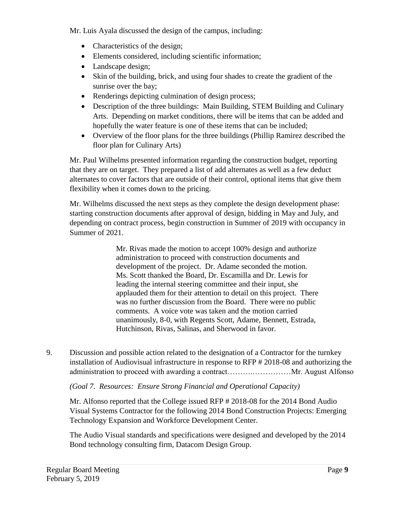Mr. Luis Ayala discussed the design of the campus, including:

- Characteristics of the design;
- Elements considered, including scientific information;
- Landscape design;
- Skin of the building, brick, and using four shades to create the gradient of the sunrise over the bay;
- Renderings depicting culmination of design process;
- Description of the three buildings: Main Building, STEM Building and Culinary Arts. Depending on market conditions, there will be items that can be added and hopefully the water feature is one of these items that can be included;
- Overview of the floor plans for the three buildings (Phillip Ramirez described the floor plan for Culinary Arts)

Mr. Paul Wilhelms presented information regarding the construction budget, reporting that they are on target. They prepared a list of add alternates as well as a few deduct alternates to cover factors that are outside of their control, optional items that give them flexibility when it comes down to the pricing.

Mr. Wilhelms discussed the next steps as they complete the design development phase: starting construction documents after approval of design, bidding in May and July, and depending on contract process, begin construction in Summer of 2019 with occupancy in Summer of 2021.

> Mr. Rivas made the motion to accept 100% design and authorize administration to proceed with construction documents and development of the project. Dr. Adame seconded the motion. Ms. Scott thanked the Board, Dr. Escamilla and Dr. Lewis for leading the internal steering committee and their input, she applauded them for their attention to detail on this project. There was no further discussion from the Board. There were no public comments. A voice vote was taken and the motion carried unanimously, 8-0, with Regents Scott, Adame, Bennett, Estrada, Hutchinson, Rivas, Salinas, and Sherwood in favor.

9. Discussion and possible action related to the designation of a Contractor for the turnkey installation of Audiovisual infrastructure in response to RFP # 2018-08 and authorizing the administration to proceed with awarding a contract……….……………Mr. August Alfonso

*(Goal 7. Resources: Ensure Strong Financial and Operational Capacity)* 

Mr. Alfonso reported that the College issued RFP # 2018-08 for the 2014 Bond Audio Visual Systems Contractor for the following 2014 Bond Construction Projects: Emerging Technology Expansion and Workforce Development Center.

The Audio Visual standards and specifications were designed and developed by the 2014 Bond technology consulting firm, Datacom Design Group.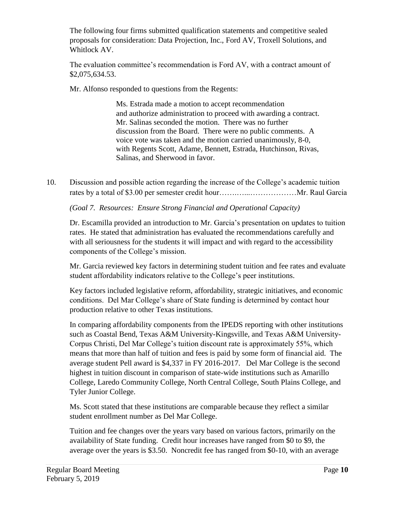The following four firms submitted qualification statements and competitive sealed proposals for consideration: Data Projection, Inc., Ford AV, Troxell Solutions, and Whitlock AV.

The evaluation committee's recommendation is Ford AV, with a contract amount of [\\$2,075,634.53](https://2,075,634.53).

Mr. Alfonso responded to questions from the Regents:

Ms. Estrada made a motion to accept recommendation and authorize administration to proceed with awarding a contract. Mr. Salinas seconded the motion. There was no further discussion from the Board. There were no public comments. A voice vote was taken and the motion carried unanimously, 8-0, with Regents Scott, Adame, Bennett, Estrada, Hutchinson, Rivas, Salinas, and Sherwood in favor.

10. Discussion and possible action regarding the increase of the College's academic tuition rates by a total of \$3.00 per semester credit hour…….…...………………Mr. Raul Garcia

*(Goal 7. Resources: Ensure Strong Financial and Operational Capacity)* 

Dr. Escamilla provided an introduction to Mr. Garcia's presentation on updates to tuition rates. He stated that administration has evaluated the recommendations carefully and with all seriousness for the students it will impact and with regard to the accessibility components of the College's mission.

Mr. Garcia reviewed key factors in determining student tuition and fee rates and evaluate student affordability indicators relative to the College's peer institutions.

Key factors included legislative reform, affordability, strategic initiatives, and economic conditions. Del Mar College's share of State funding is determined by contact hour production relative to other Texas institutions.

In comparing affordability components from the IPEDS reporting with other institutions such as Coastal Bend, Texas A&M University-Kingsville, and Texas A&M University-Corpus Christi, Del Mar College's tuition discount rate is approximately 55%, which means that more than half of tuition and fees is paid by some form of financial aid. The average student Pell award is \$4,337 in FY 2016-2017. Del Mar College is the second highest in tuition discount in comparison of state-wide institutions such as Amarillo College, Laredo Community College, North Central College, South Plains College, and Tyler Junior College.

 Ms. Scott stated that these institutions are comparable because they reflect a similar student enrollment number as Del Mar College.

Tuition and fee changes over the years vary based on various factors, primarily on the availability of State funding. Credit hour increases have ranged from \$0 to \$9, the average over the years is \$3.50. Noncredit fee has ranged from \$0-10, with an average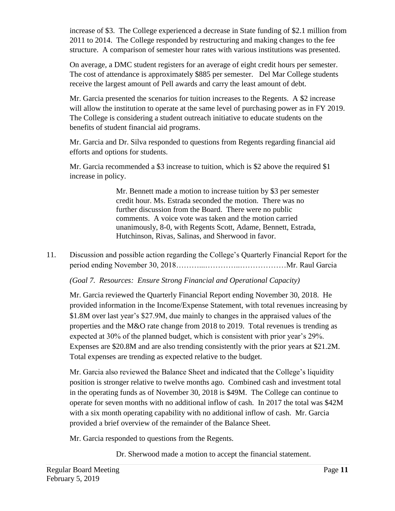increase of \$3. The College experienced a decrease in State funding of \$2.1 million from 2011 to 2014. The College responded by restructuring and making changes to the fee structure. A comparison of semester hour rates with various institutions was presented.

On average, a DMC student registers for an average of eight credit hours per semester. The cost of attendance is approximately \$885 per semester. Del Mar College students receive the largest amount of Pell awards and carry the least amount of debt.

Mr. Garcia presented the scenarios for tuition increases to the Regents. A \$2 increase will allow the institution to operate at the same level of purchasing power as in FY 2019. The College is considering a student outreach initiative to educate students on the benefits of student financial aid programs.

Mr. Garcia and Dr. Silva responded to questions from Regents regarding financial aid efforts and options for students.

Mr. Garcia recommended a \$3 increase to tuition, which is \$2 above the required \$1 increase in policy.

> Mr. Bennett made a motion to increase tuition by \$3 per semester credit hour. Ms. Estrada seconded the motion. There was no further discussion from the Board. There were no public comments. A voice vote was taken and the motion carried unanimously, 8-0, with Regents Scott, Adame, Bennett, Estrada, Hutchinson, Rivas, Salinas, and Sherwood in favor.

11. Discussion and possible action regarding the College's Quarterly Financial Report for the period ending November 30, 2018………...…………..………………Mr. Raul Garcia

*(Goal 7. Resources: Ensure Strong Financial and Operational Capacity)* 

 Expenses are \$20.8M and are also trending consistently with the prior years at \$21.2M. Mr. Garcia reviewed the Quarterly Financial Report ending November 30, 2018. He provided information in the Income/Expense Statement, with total revenues increasing by \$1.8M over last year's \$27.9M, due mainly to changes in the appraised values of the properties and the M&O rate change from 2018 to 2019. Total revenues is trending as expected at 30% of the planned budget, which is consistent with prior year's 29%. Total expenses are trending as expected relative to the budget.

Mr. Garcia also reviewed the Balance Sheet and indicated that the College's liquidity position is stronger relative to twelve months ago. Combined cash and investment total in the operating funds as of November 30, 2018 is \$49M. The College can continue to operate for seven months with no additional inflow of cash. In 2017 the total was \$42M with a six month operating capability with no additional inflow of cash. Mr. Garcia provided a brief overview of the remainder of the Balance Sheet.

Mr. Garcia responded to questions from the Regents.

Dr. Sherwood made a motion to accept the financial statement.